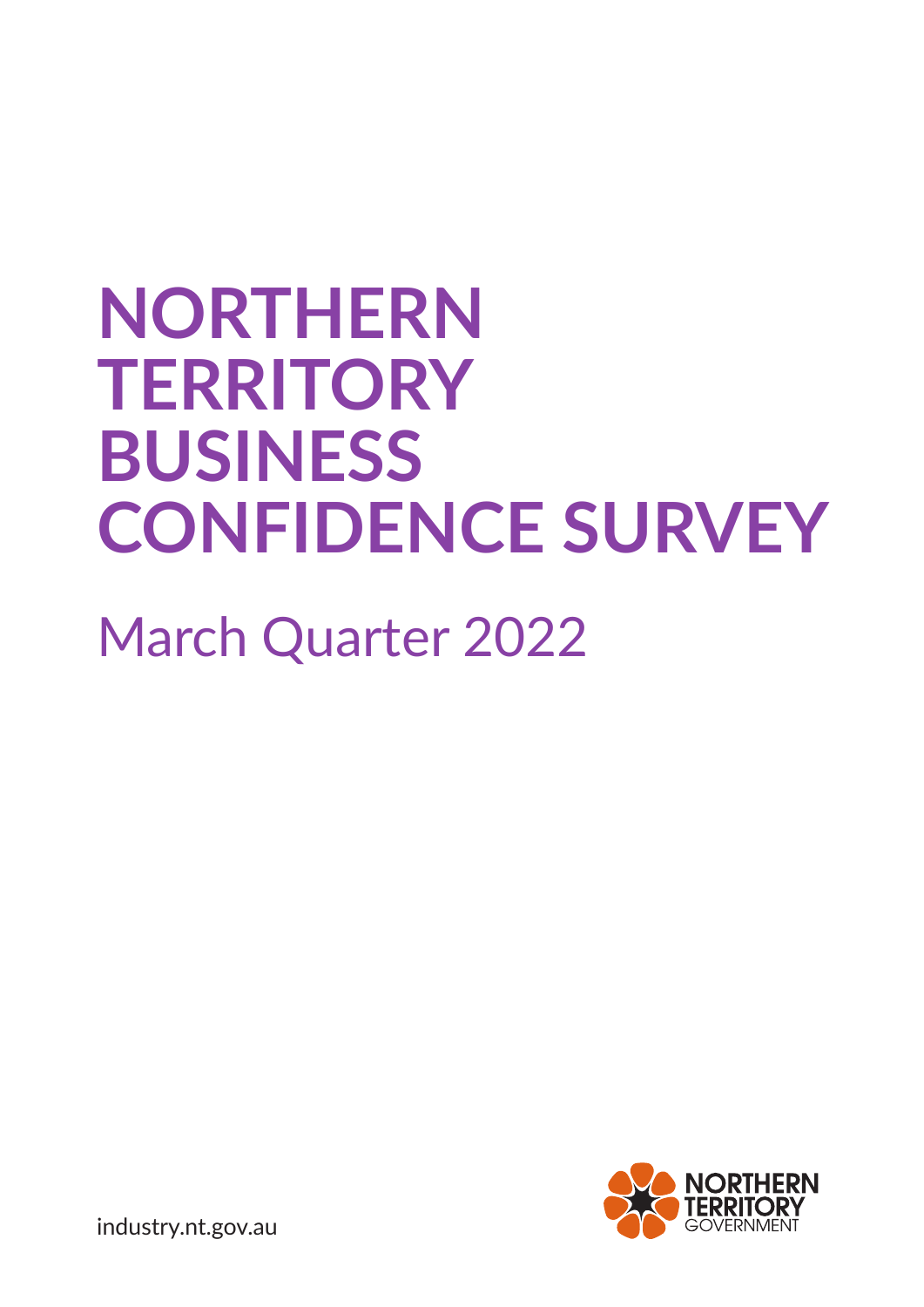# **NORTHERN TERRITORY BUSINESS CONFIDENCE SURVEY**

# March Quarter 2022



industry.nt.gov.au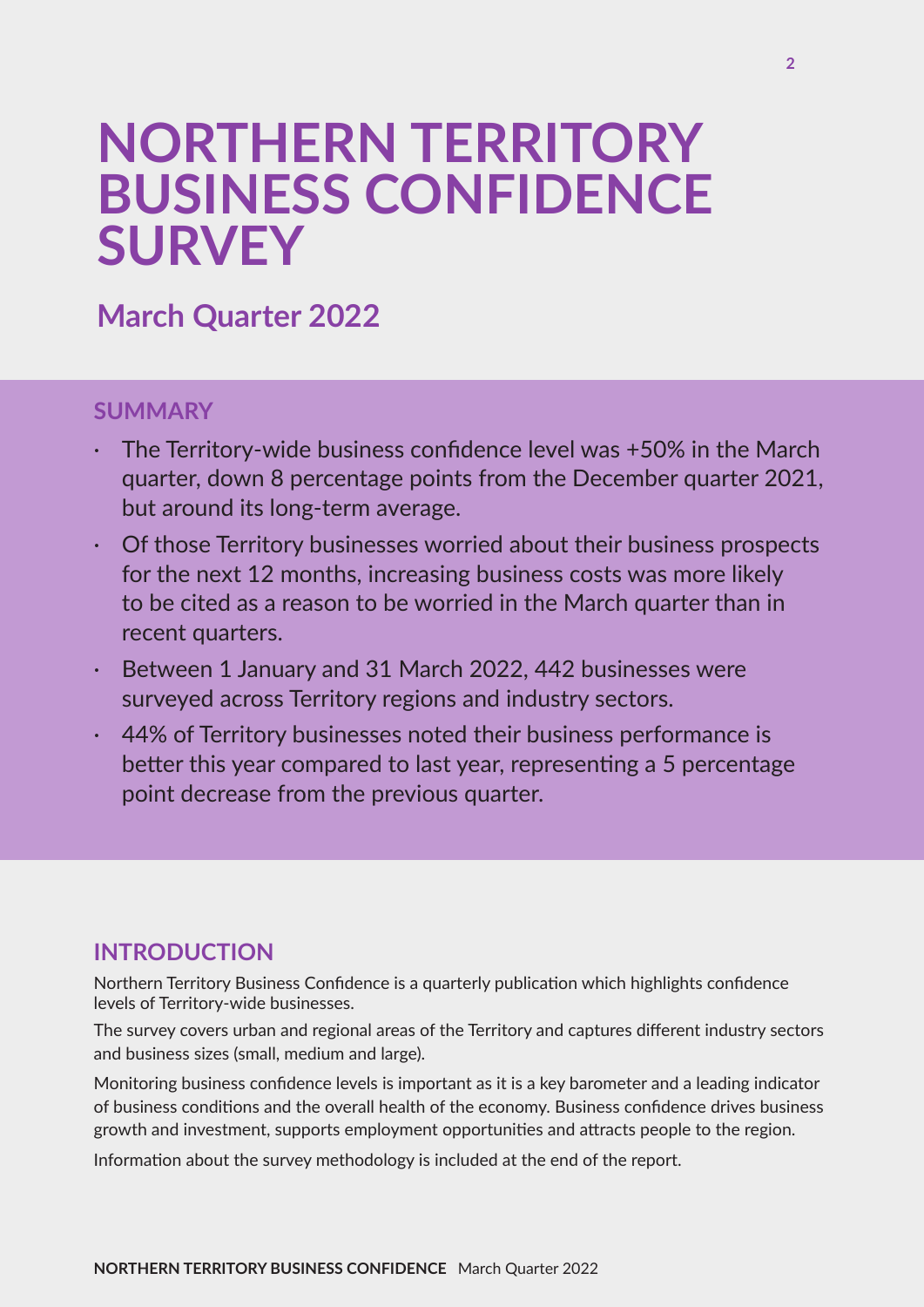## **NORTHERN TERRITORY BUSINESS CONFIDENCE SURVEY**

## **March Quarter 2022**

## **SUMMARY**

- The Territory-wide business confidence level was +50% in the March quarter, down 8 percentage points from the December quarter 2021, but around its long-term average.
- · Of those Territory businesses worried about their business prospects for the next 12 months, increasing business costs was more likely to be cited as a reason to be worried in the March quarter than in recent quarters.
- Between 1 January and 31 March 2022, 442 businesses were surveyed across Territory regions and industry sectors.
- 44% of Territory businesses noted their business performance is better this year compared to last year, representing a 5 percentage point decrease from the previous quarter.

## **INTRODUCTION**

Northern Territory Business Confidence is a quarterly publication which highlights confidence levels of Territory-wide businesses.

The survey covers urban and regional areas of the Territory and captures different industry sectors and business sizes (small, medium and large).

Monitoring business confidence levels is important as it is a key barometer and a leading indicator of business conditions and the overall health of the economy. Business confidence drives business growth and investment, supports employment opportunities and attracts people to the region.

Information about the survey methodology is included at the end of the report.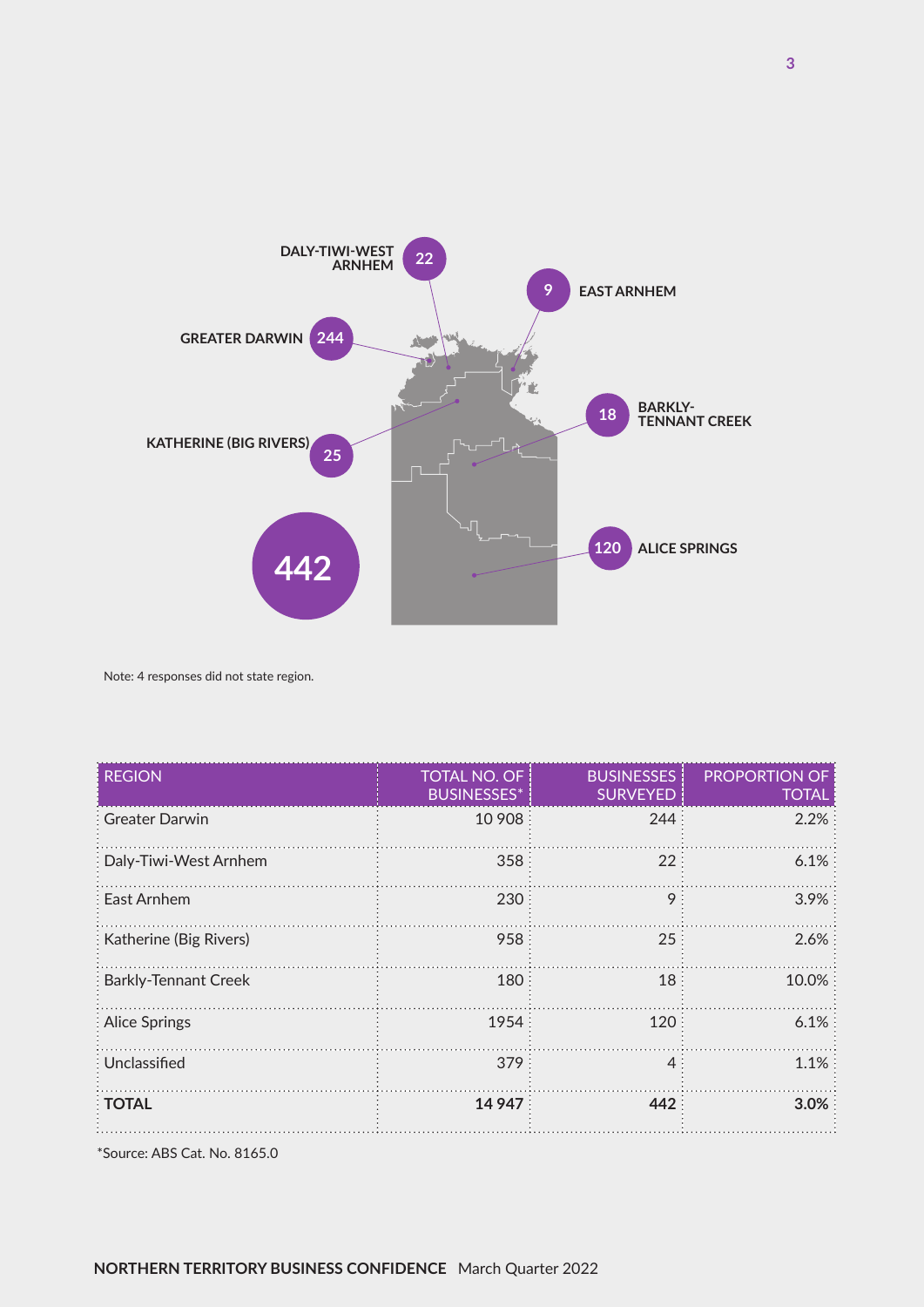

Note: 4 responses did not state region.

| <b>REGION</b>                 | <b>TOTAL NO. OF</b><br><b>BUSINESSES*</b> | <b>BUSINESSES</b><br><b>SURVEYED</b> | <b>PROPORTION OF</b><br><b>TOTAL</b> |
|-------------------------------|-------------------------------------------|--------------------------------------|--------------------------------------|
| : Greater Darwin              | 10 908                                    | 244:                                 | $2.2\%$                              |
| Daly-Tiwi-West Arnhem         | 358:                                      | 22:                                  | $6.1\%$                              |
| East Arnhem                   | 230                                       | 9                                    | $3.9\%$                              |
| <b>Katherine (Big Rivers)</b> | 958                                       | 25:                                  | $2.6\%$                              |
| <b>Barkly-Tennant Creek</b>   | 180                                       | 18                                   | 10.0%                                |
| : Alice Springs               | 1954                                      | 120:                                 | $6.1\%$                              |
| Unclassified                  | 379:                                      | $4 \cdot$                            | $1.1\%$                              |
| <b>TOTAL</b>                  | 14 947                                    | 442                                  | 3.0%                                 |

\*Source: ABS Cat. No. 8165.0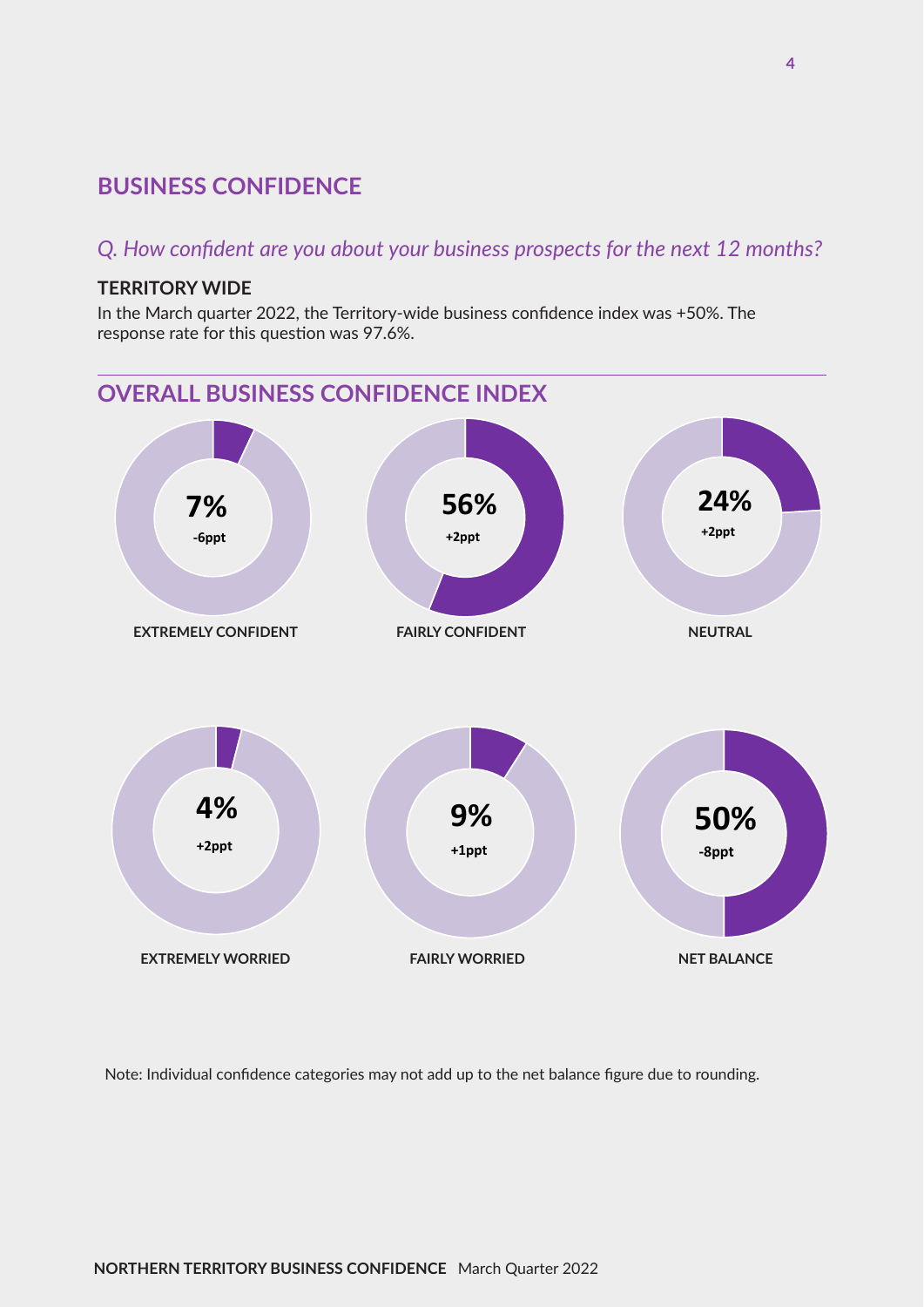## **BUSINESS CONFIDENCE**

### *Q. How confident are you about your business prospects for the next 12 months?*

#### **TERRITORY WIDE**

In the March quarter 2022, the Territory-wide business confidence index was +50%. The response rate for this question was 97.6%.



Note: Individual confidence categories may not add up to the net balance figure due to rounding.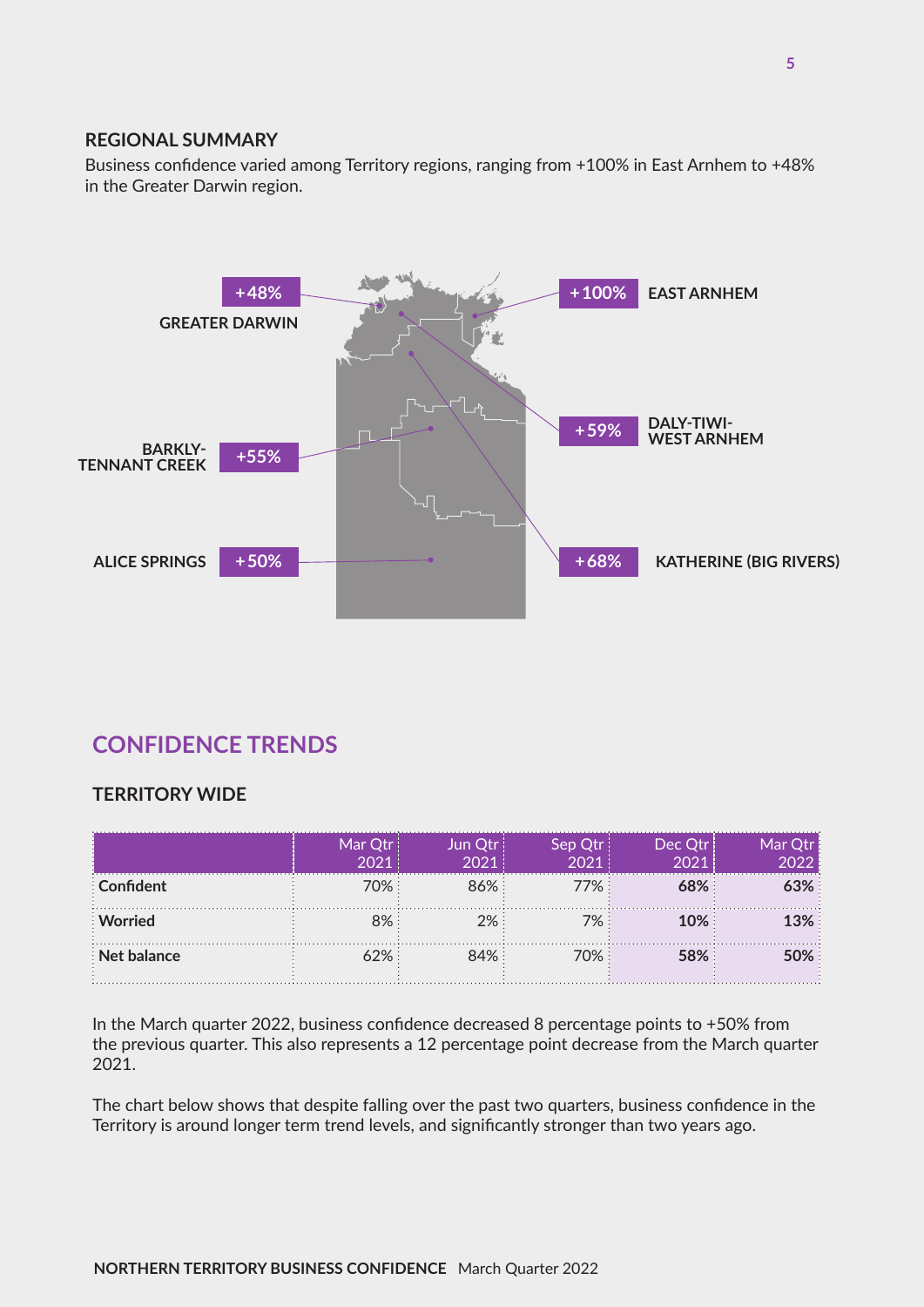#### **REGIONAL SUMMARY**

Business confidence varied among Territory regions, ranging from +100% in East Arnhem to +48% in the Greater Darwin region.



## **CONFIDENCE TRENDS**

#### **TERRITORY WIDE**

|             | Mar Otr | Jun Otri |         | Dec Qtr  |  |
|-------------|---------|----------|---------|----------|--|
| Confident   | 70%     | 86%      | $7\%$ : |          |  |
| : Worried   |         | 7%       | 7%      | $10\%$ . |  |
| Net balance |         | 84% :    | ገ% ነ    |          |  |

In the March quarter 2022, business confidence decreased 8 percentage points to +50% from the previous quarter. This also represents a 12 percentage point decrease from the March quarter 2021.

The chart below shows that despite falling over the past two quarters, business confidence in the Territory is around longer term trend levels, and significantly stronger than two years ago.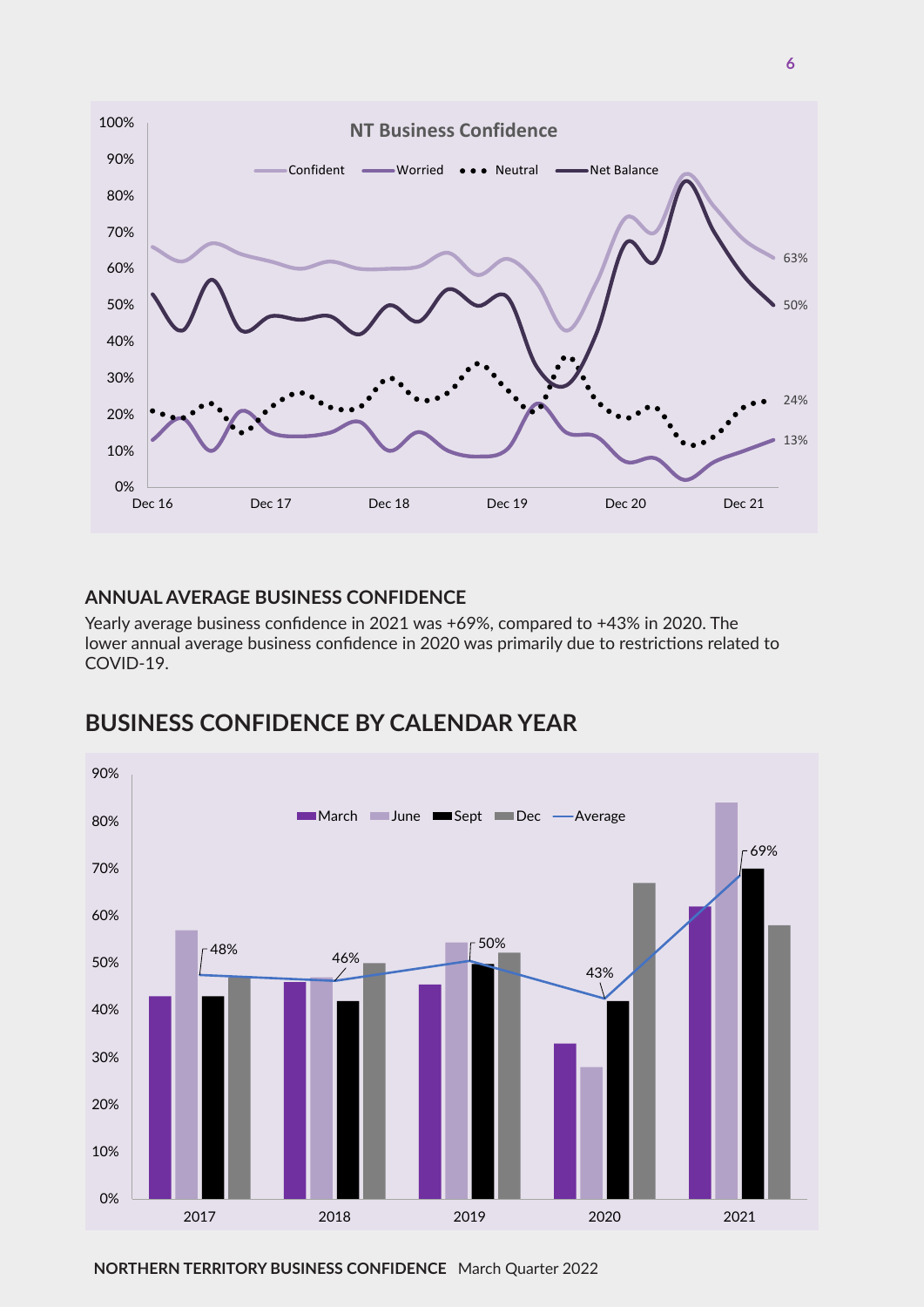

#### **ANNUAL AVERAGE BUSINESS CONFIDENCE**

Yearly average business confidence in 2021 was +69%, compared to +43% in 2020. The lower annual average business confidence in 2020 was primarily due to restrictions related to COVID-19.



## **BUSINESS CONFIDENCE BY CALENDAR YEAR**

**NORTHERN TERRITORY BUSINESS CONFIDENCE** March Quarter 2022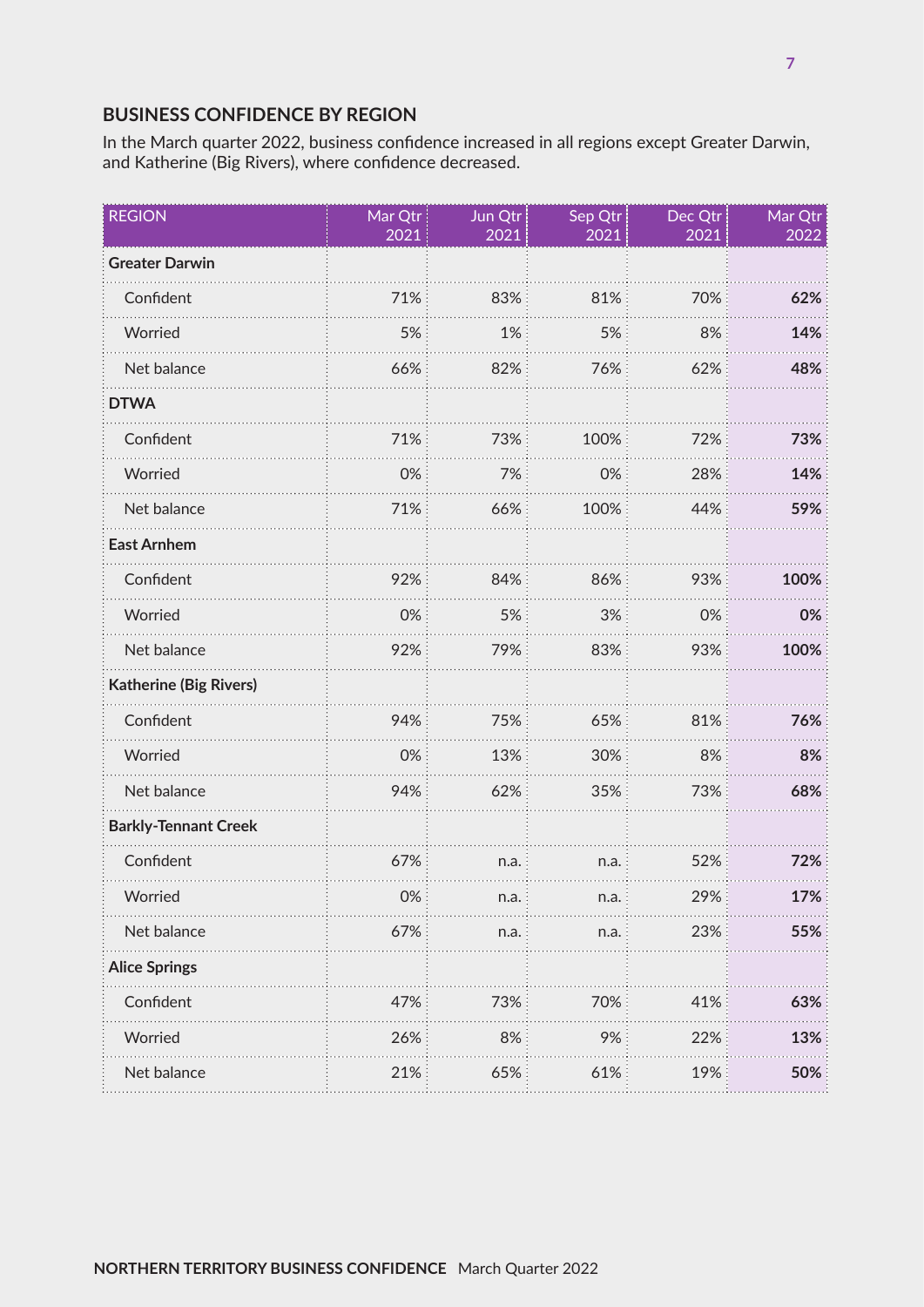### **BUSINESS CONFIDENCE BY REGION**

In the March quarter 2022, business confidence increased in all regions except Greater Darwin, and Katherine (Big Rivers), where confidence decreased.

| <b>REGION</b>                 | Mar Qtr<br>2021 | Jun Qtr<br>2021 | Sep Qtr<br>2021 | Dec Qtr<br>2021 | Mar Qtr<br>2022 |
|-------------------------------|-----------------|-----------------|-----------------|-----------------|-----------------|
| <b>Greater Darwin</b>         |                 |                 |                 |                 |                 |
| Confident                     | 71%             | 83%             | 81%             | 70%             | 62%             |
| Worried                       | 5%              | 1%              | 5%              | 8%              | 14%             |
| Net balance                   | 66%             | 82%             | 76%             | 62%             | 48%             |
| <b>DTWA</b>                   |                 |                 |                 |                 |                 |
| Confident                     | 71%             | 73%             | 100%            | 72%             | 73%             |
| Worried                       | 0%              | 7%              | 0%              | 28%             | 14%             |
| Net balance                   | 71%             | 66%             | 100%            | 44%             | 59%             |
| <b>East Arnhem</b>            |                 |                 |                 |                 |                 |
| Confident                     | 92%             | 84%             | 86%             | 93%             | 100%            |
| Worried                       | 0%              | 5%              | 3%              | 0%              | 0%              |
| Net balance                   | 92%             | 79%             | 83%             | 93%             | 100%            |
| <b>Katherine (Big Rivers)</b> |                 |                 |                 |                 |                 |
| Confident                     | 94%             | 75%             | 65%             | 81%             | 76%             |
| Worried                       | 0%              | 13%             | 30%             | 8%              | 8%              |
| Net balance                   | 94%             | 62%             | 35%             | 73%             | 68%             |
| <b>Barkly-Tennant Creek</b>   |                 |                 |                 |                 |                 |
| Confident                     | 67%             | n.a.            | n.a.            | 52%             | 72%             |
| Worried                       | 0%              | n.a.            | n.a.            | 29%             | 17%             |
| Net balance                   | 67%             | n.a.            | n.a.            | 23%             | 55%             |
| <b>Alice Springs</b>          |                 |                 |                 |                 |                 |
| Confident                     | 47%             | 73%             | 70%             | 41%             | 63%             |
| Worried                       | 26%             | 8%              | 9%              | 22%             | 13%             |
| Net balance                   | 21%             | 65%             | 61%             | 19%             | 50%             |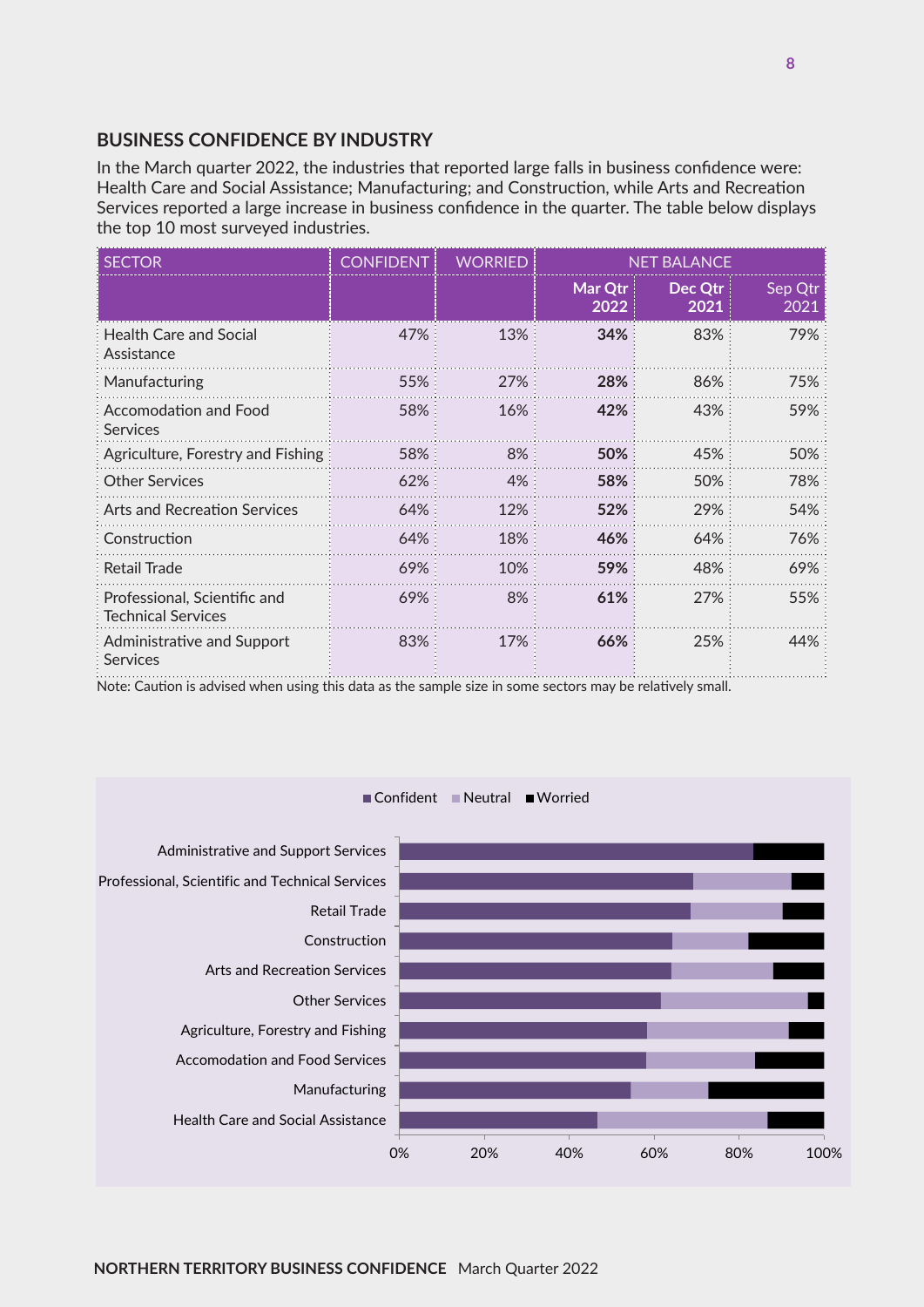#### **BUSINESS CONFIDENCE BY INDUSTRY**

In the March quarter 2022, the industries that reported large falls in business confidence were: Health Care and Social Assistance; Manufacturing; and Construction, while Arts and Recreation Services reported a large increase in business confidence in the quarter. The table below displays the top 10 most surveyed industries.

| <b>SECTOR</b>                                             | CONFIDENT | WORRIED | NET BALANCE     |                 |                 |
|-----------------------------------------------------------|-----------|---------|-----------------|-----------------|-----------------|
|                                                           |           |         | Mar Qtr<br>2022 | Dec Qtr<br>2021 | Sep Qtr<br>2021 |
| <b>Health Care and Social</b><br>Assistance               | 47%       | 13%     | 34%             | 83%             | 79%             |
| Manufacturing                                             | 55%       | 27%     | 28%             | 86%             | 75%             |
| Accomodation and Food<br>Services                         | 58%       | 16%     | 42%             | 43%             | 59%             |
| Agriculture, Forestry and Fishing                         | 58%       | 8%      | 50%             | 45%             | 50%             |
| <b>Other Services</b>                                     | 62%       | 4%      | 58%             | 50%             | 78%             |
| <b>Arts and Recreation Services</b>                       | $64\%$    | 12%     | 52%             | 29%             | 54%             |
| Construction                                              | 64%       | 18%     | 46%             | 64%             | 76%             |
| <b>Retail Trade</b>                                       | 69%       | 10%     | 59%             | 48%             | 69%             |
| Professional, Scientific and<br><b>Technical Services</b> | 69%       | 8%      | 61%             | 27%             | 55%             |
| Administrative and Support<br><b>Services</b>             | 83%       | 17%     | 66%             | 25%             | 44%             |

Note: Caution is advised when using this data as the sample size in some sectors may be relatively small.



Confident Neutral Worried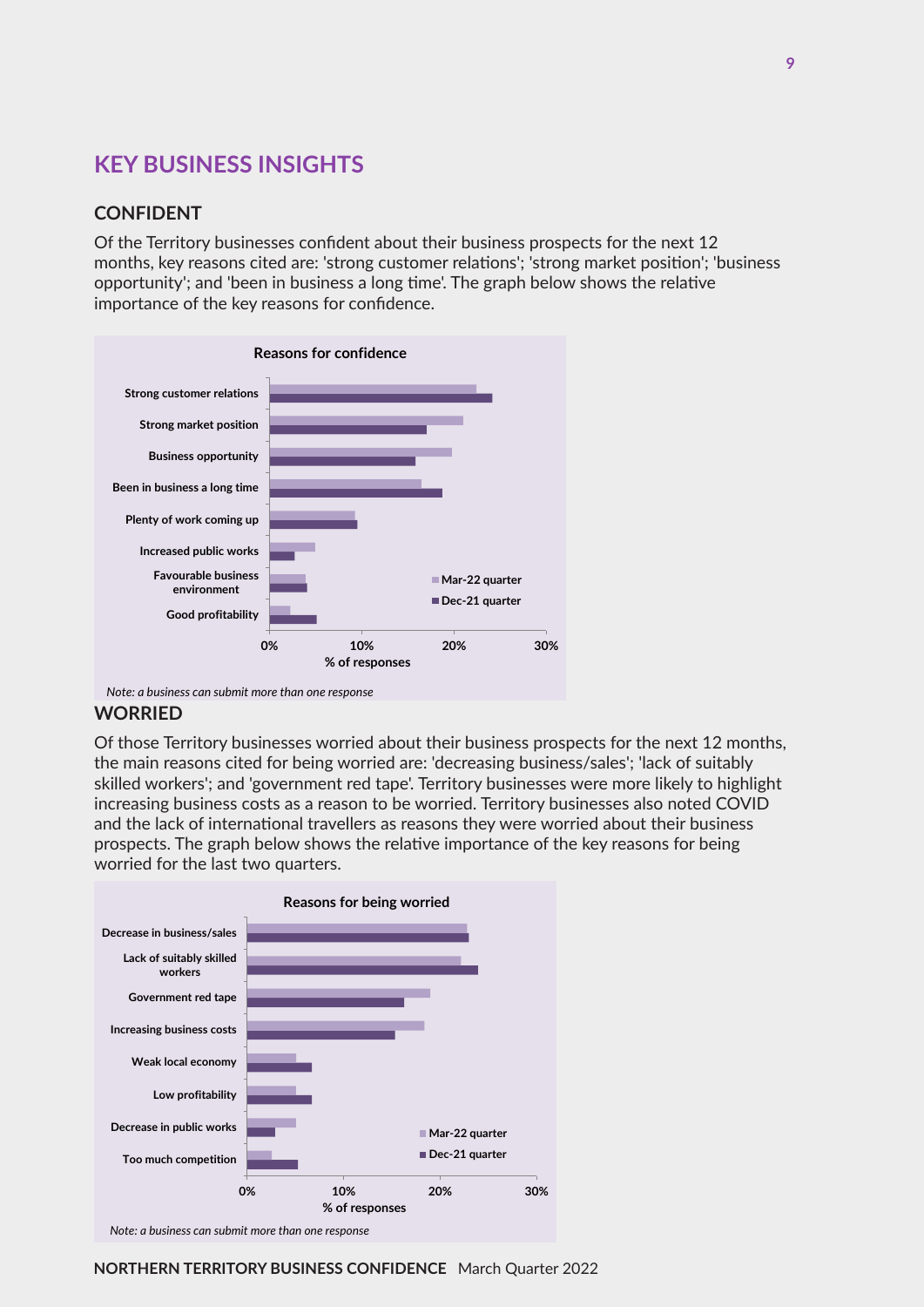## **KEY BUSINESS INSIGHTS**

#### **CONFIDENT**

Of the Territory businesses confident about their business prospects for the next 12 months, key reasons cited are: 'strong customer relations'; 'strong market position'; 'business opportunity'; and 'been in business a long time'. The graph below shows the relative importance of the key reasons for confidence.



*Note: a business can submit more than one response*

#### **WORRIED**

Of those Territory businesses worried about their business prospects for the next 12 months, the main reasons cited for being worried are: 'decreasing business/sales'; 'lack of suitably skilled workers'; and 'government red tape'. Territory businesses were more likely to highlight increasing business costs as a reason to be worried. Territory businesses also noted COVID and the lack of international travellers as reasons they were worried about their business prospects. The graph below shows the relative importance of the key reasons for being worried for the last two quarters.

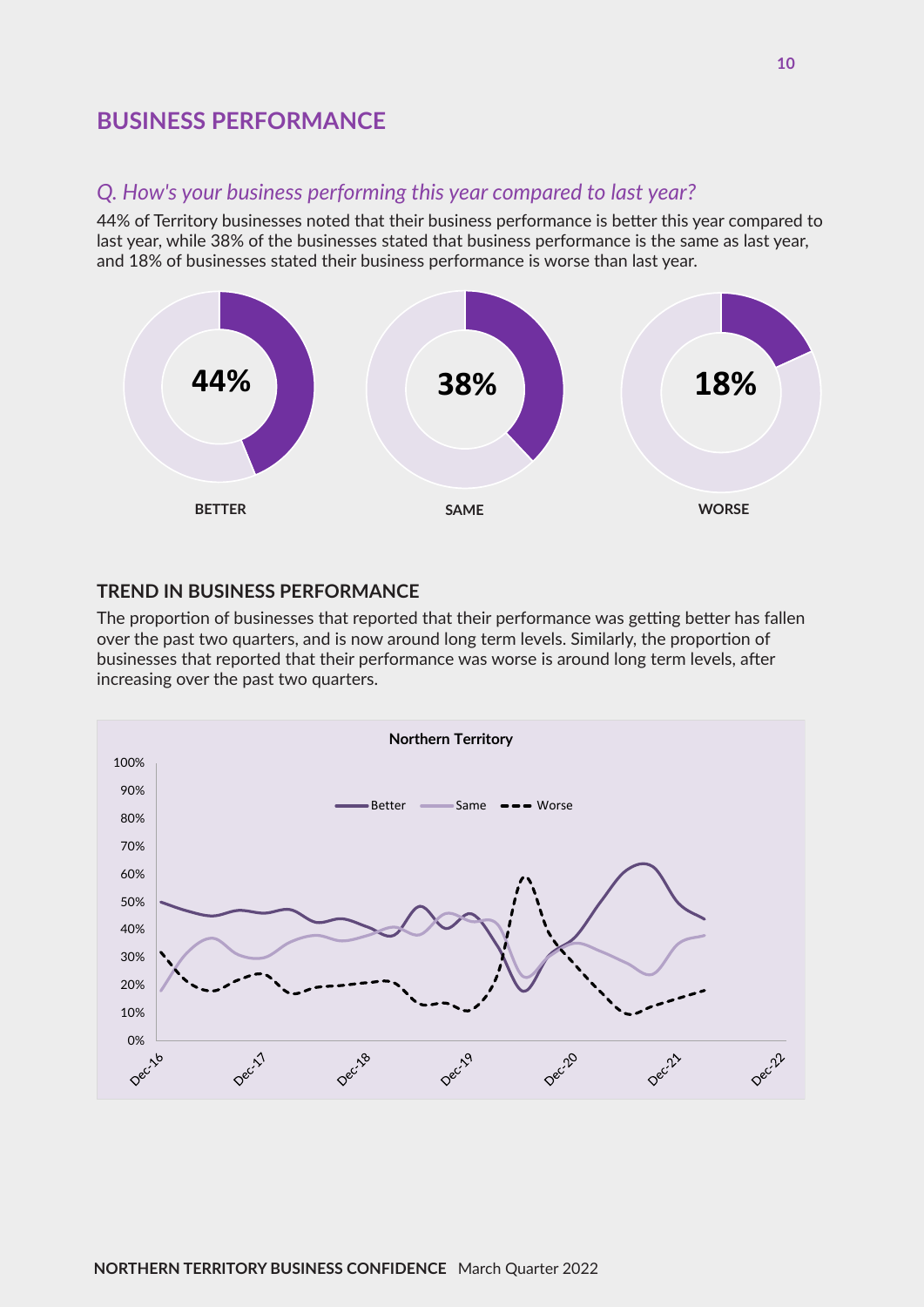## **BUSINESS PERFORMANCE**

#### *Q. How's your business performing this year compared to last year?*

44% of Territory businesses noted that their business performance is better this year compared to last year, while 38% of the businesses stated that business performance is the same as last year, and 18% of businesses stated their business performance is worse than last year.



#### **TREND IN BUSINESS PERFORMANCE**

The proportion of businesses that reported that their performance was getting better has fallen over the past two quarters, and is now around long term levels. Similarly, the proportion of businesses that reported that their performance was worse is around long term levels, after increasing over the past two quarters.

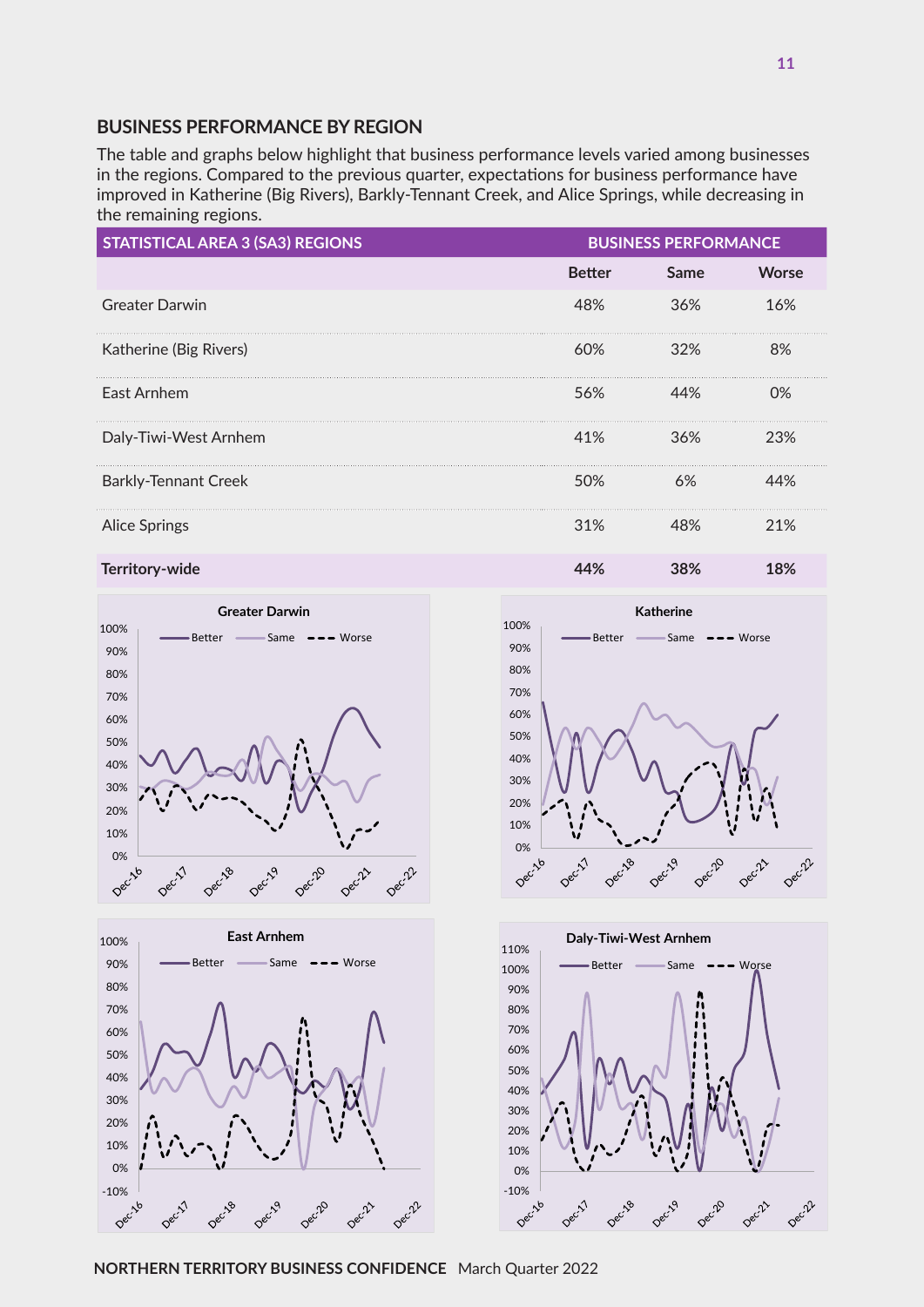#### **BUSINESS PERFORMANCE BY REGION**

The table and graphs below highlight that business performance levels varied among businesses in the regions. Compared to the previous quarter, expectations for business performance have improved in Katherine (Big Rivers), Barkly-Tennant Creek, and Alice Springs, while decreasing in the remaining regions.

| <b>STATISTICAL AREA 3 (SA3) REGIONS</b> | <b>BUSINESS PERFORMANCE</b> |      |              |
|-----------------------------------------|-----------------------------|------|--------------|
|                                         | <b>Better</b>               | Same | <b>Worse</b> |
| <b>Greater Darwin</b>                   | 48%                         | 36%  | 16%          |
| Katherine (Big Rivers)                  | 60%                         | 32%  | 8%           |
| East Arnhem                             | 56%                         | 44%  | $0\%$        |
| Daly-Tiwi-West Arnhem                   | 41%                         | 36%  | 23%          |
| <b>Barkly-Tennant Creek</b>             | 50%                         | 6%   | 44%          |
| <b>Alice Springs</b>                    | 31%                         | 48%  | 21%          |
| <b>Territory-wide</b>                   | 44%                         | 38%  | 18%          |







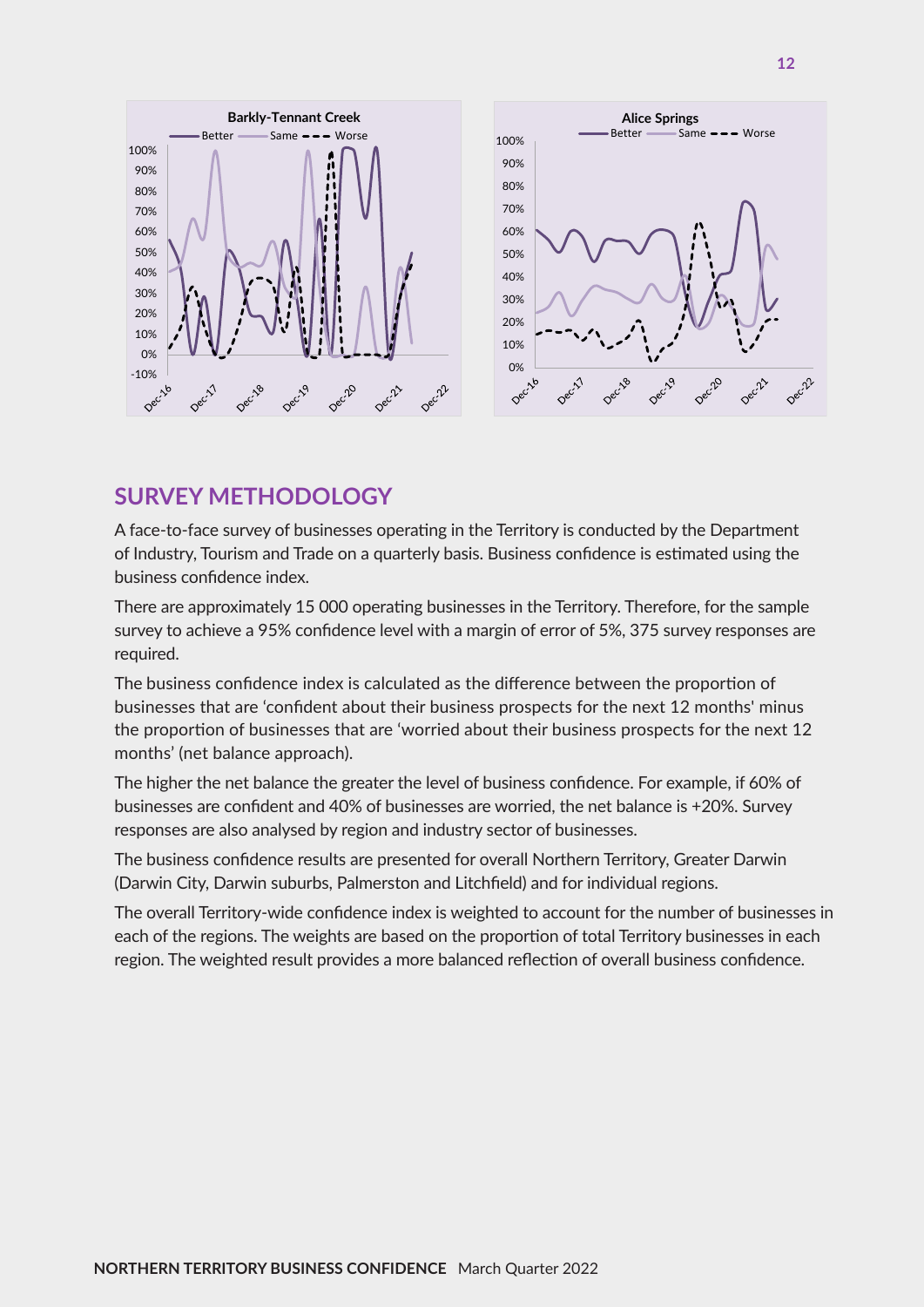

## **SURVEY METHODOLOGY**

A face-to-face survey of businesses operating in the Territory is conducted by the Department of Industry, Tourism and Trade on a quarterly basis. Business confidence is estimated using the business confidence index.

There are approximately 15 000 operating businesses in the Territory. Therefore, for the sample survey to achieve a 95% confidence level with a margin of error of 5%, 375 survey responses are required.

The business confidence index is calculated as the difference between the proportion of businesses that are 'confident about their business prospects for the next 12 months' minus the proportion of businesses that are 'worried about their business prospects for the next 12 months' (net balance approach).

The higher the net balance the greater the level of business confidence. For example, if 60% of businesses are confident and 40% of businesses are worried, the net balance is +20%. Survey responses are also analysed by region and industry sector of businesses.

The business confidence results are presented for overall Northern Territory, Greater Darwin (Darwin City, Darwin suburbs, Palmerston and Litchfield) and for individual regions.

The overall Territory-wide confidence index is weighted to account for the number of businesses in each of the regions. The weights are based on the proportion of total Territory businesses in each region. The weighted result provides a more balanced reflection of overall business confidence.